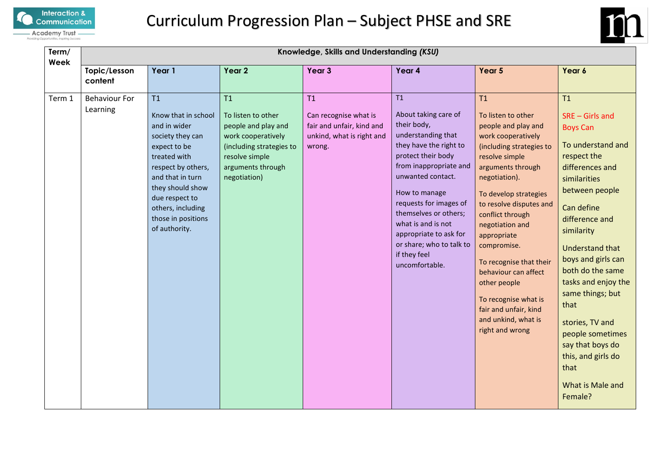



| Term/<br>Week |                                  | Knowledge, Skills and Understanding (KSU)                                                                                                                                                                                                 |                                                                                                                                                          |                                                                                                 |                                                                                                                                                                                                                                                                                                                                                  |                                                                                                                                                                                                                                                                                                                                                                                                                                                  |                                                                                                                                                                                                                                                                                                                                                                                                                                  |  |  |
|---------------|----------------------------------|-------------------------------------------------------------------------------------------------------------------------------------------------------------------------------------------------------------------------------------------|----------------------------------------------------------------------------------------------------------------------------------------------------------|-------------------------------------------------------------------------------------------------|--------------------------------------------------------------------------------------------------------------------------------------------------------------------------------------------------------------------------------------------------------------------------------------------------------------------------------------------------|--------------------------------------------------------------------------------------------------------------------------------------------------------------------------------------------------------------------------------------------------------------------------------------------------------------------------------------------------------------------------------------------------------------------------------------------------|----------------------------------------------------------------------------------------------------------------------------------------------------------------------------------------------------------------------------------------------------------------------------------------------------------------------------------------------------------------------------------------------------------------------------------|--|--|
|               | Topic/Lesson<br>content          | Year 1                                                                                                                                                                                                                                    | Year 2                                                                                                                                                   | Year 3                                                                                          | Year 4                                                                                                                                                                                                                                                                                                                                           | Year 5                                                                                                                                                                                                                                                                                                                                                                                                                                           | Year 6                                                                                                                                                                                                                                                                                                                                                                                                                           |  |  |
| Term 1        | <b>Behaviour For</b><br>Learning | T1<br>Know that in school<br>and in wider<br>society they can<br>expect to be<br>treated with<br>respect by others,<br>and that in turn<br>they should show<br>due respect to<br>others, including<br>those in positions<br>of authority. | T1<br>To listen to other<br>people and play and<br>work cooperatively<br>(including strategies to<br>resolve simple<br>arguments through<br>negotiation) | T1<br>Can recognise what is<br>fair and unfair, kind and<br>unkind, what is right and<br>wrong. | T1<br>About taking care of<br>their body,<br>understanding that<br>they have the right to<br>protect their body<br>from inappropriate and<br>unwanted contact.<br>How to manage<br>requests for images of<br>themselves or others;<br>what is and is not<br>appropriate to ask for<br>or share; who to talk to<br>if they feel<br>uncomfortable. | T1<br>To listen to other<br>people and play and<br>work cooperatively<br>(including strategies to<br>resolve simple<br>arguments through<br>negotiation).<br>To develop strategies<br>to resolve disputes and<br>conflict through<br>negotiation and<br>appropriate<br>compromise.<br>To recognise that their<br>behaviour can affect<br>other people<br>To recognise what is<br>fair and unfair, kind<br>and unkind, what is<br>right and wrong | T1<br>$SRE - Girls$ and<br><b>Boys Can</b><br>To understand and<br>respect the<br>differences and<br>similarities<br>between people<br>Can define<br>difference and<br>similarity<br><b>Understand that</b><br>boys and girls can<br>both do the same<br>tasks and enjoy the<br>same things; but<br>that<br>stories, TV and<br>people sometimes<br>say that boys do<br>this, and girls do<br>that<br>What is Male and<br>Female? |  |  |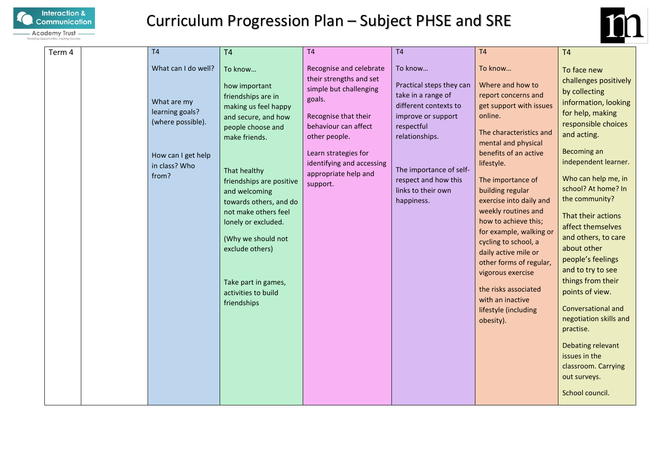



| Term 4 | T <sub>4</sub>                                                                                                             | T <sub>4</sub>                                                                                                                                                                                                                                                                                                                                                                  | T <sub>4</sub>                                                                                                                                                                                                                                   | T <sub>4</sub>                                                                                                                                                                                                                  | T <sub>4</sub>                                                                                                                                                                                                                                                                                                                                                                                                                                                                                                   | <b>T4</b>                                                                                                                                                                                                                                                                                                                                                                                                                                                                                                                                                                             |
|--------|----------------------------------------------------------------------------------------------------------------------------|---------------------------------------------------------------------------------------------------------------------------------------------------------------------------------------------------------------------------------------------------------------------------------------------------------------------------------------------------------------------------------|--------------------------------------------------------------------------------------------------------------------------------------------------------------------------------------------------------------------------------------------------|---------------------------------------------------------------------------------------------------------------------------------------------------------------------------------------------------------------------------------|------------------------------------------------------------------------------------------------------------------------------------------------------------------------------------------------------------------------------------------------------------------------------------------------------------------------------------------------------------------------------------------------------------------------------------------------------------------------------------------------------------------|---------------------------------------------------------------------------------------------------------------------------------------------------------------------------------------------------------------------------------------------------------------------------------------------------------------------------------------------------------------------------------------------------------------------------------------------------------------------------------------------------------------------------------------------------------------------------------------|
|        | What can I do well?<br>What are my<br>learning goals?<br>(where possible).<br>How can I get help<br>in class? Who<br>from? | To know<br>how important<br>friendships are in<br>making us feel happy<br>and secure, and how<br>people choose and<br>make friends.<br>That healthy<br>friendships are positive<br>and welcoming<br>towards others, and do<br>not make others feel<br>lonely or excluded.<br>(Why we should not<br>exclude others)<br>Take part in games,<br>activities to build<br>friendships | Recognise and celebrate<br>their strengths and set<br>simple but challenging<br>goals.<br>Recognise that their<br>behaviour can affect<br>other people.<br>Learn strategies for<br>identifying and accessing<br>appropriate help and<br>support. | To know<br>Practical steps they can<br>take in a range of<br>different contexts to<br>improve or support<br>respectful<br>relationships.<br>The importance of self-<br>respect and how this<br>links to their own<br>happiness. | To know<br>Where and how to<br>report concerns and<br>get support with issues<br>online.<br>The characteristics and<br>mental and physical<br>benefits of an active<br>lifestyle.<br>The importance of<br>building regular<br>exercise into daily and<br>weekly routines and<br>how to achieve this;<br>for example, walking or<br>cycling to school, a<br>daily active mile or<br>other forms of regular,<br>vigorous exercise<br>the risks associated<br>with an inactive<br>lifestyle (including<br>obesity). | To face new<br>challenges positively<br>by collecting<br>information, looking<br>for help, making<br>responsible choices<br>and acting.<br>Becoming an<br>independent learner.<br>Who can help me, in<br>school? At home? In<br>the community?<br>That their actions<br>affect themselves<br>and others, to care<br>about other<br>people's feelings<br>and to try to see<br>things from their<br>points of view.<br><b>Conversational and</b><br>negotiation skills and<br>practise.<br>Debating relevant<br>issues in the<br>classroom. Carrying<br>out surveys.<br>School council. |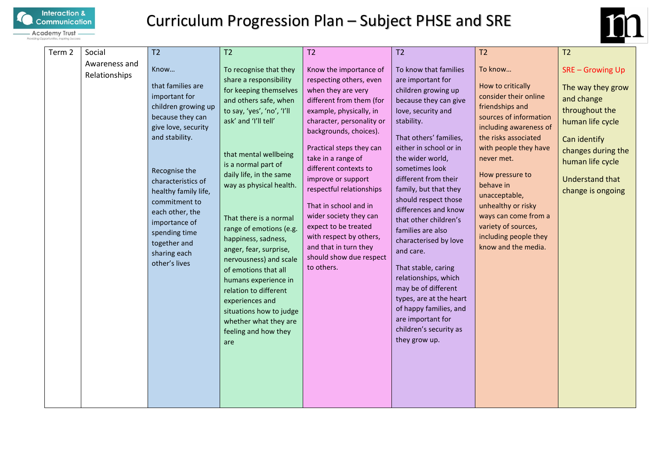



| Term 2 | Social                         | T <sub>2</sub>                                                                                                                                                                                                                                                                                                       | T <sub>2</sub>                                                                                                                                                                                                                                                                                                                                                                                                                                                                                                                                                                 | T2                                                                                                                                                                                                                                                                                                                                                                                                                                                                                         | T <sub>2</sub>                                                                                                                                                                                                                                                                                                                                                                                                                                                                                                                                                                                           | T2                                                                                                                                                                                                                                                                                                                                                                | T <sub>2</sub>                                                                                                                                                                                          |
|--------|--------------------------------|----------------------------------------------------------------------------------------------------------------------------------------------------------------------------------------------------------------------------------------------------------------------------------------------------------------------|--------------------------------------------------------------------------------------------------------------------------------------------------------------------------------------------------------------------------------------------------------------------------------------------------------------------------------------------------------------------------------------------------------------------------------------------------------------------------------------------------------------------------------------------------------------------------------|--------------------------------------------------------------------------------------------------------------------------------------------------------------------------------------------------------------------------------------------------------------------------------------------------------------------------------------------------------------------------------------------------------------------------------------------------------------------------------------------|----------------------------------------------------------------------------------------------------------------------------------------------------------------------------------------------------------------------------------------------------------------------------------------------------------------------------------------------------------------------------------------------------------------------------------------------------------------------------------------------------------------------------------------------------------------------------------------------------------|-------------------------------------------------------------------------------------------------------------------------------------------------------------------------------------------------------------------------------------------------------------------------------------------------------------------------------------------------------------------|---------------------------------------------------------------------------------------------------------------------------------------------------------------------------------------------------------|
|        | Awareness and<br>Relationships | Know<br>that families are<br>important for<br>children growing up<br>because they can<br>give love, security<br>and stability.<br>Recognise the<br>characteristics of<br>healthy family life,<br>commitment to<br>each other, the<br>importance of<br>spending time<br>together and<br>sharing each<br>other's lives | To recognise that they<br>share a responsibility<br>for keeping themselves<br>and others safe, when<br>to say, 'yes', 'no', 'I'll<br>ask' and 'I'll tell'<br>that mental wellbeing<br>is a normal part of<br>daily life, in the same<br>way as physical health.<br>That there is a normal<br>range of emotions (e.g.<br>happiness, sadness,<br>anger, fear, surprise,<br>nervousness) and scale<br>of emotions that all<br>humans experience in<br>relation to different<br>experiences and<br>situations how to judge<br>whether what they are<br>feeling and how they<br>are | Know the importance of<br>respecting others, even<br>when they are very<br>different from them (for<br>example, physically, in<br>character, personality or<br>backgrounds, choices).<br>Practical steps they can<br>take in a range of<br>different contexts to<br>improve or support<br>respectful relationships<br>That in school and in<br>wider society they can<br>expect to be treated<br>with respect by others,<br>and that in turn they<br>should show due respect<br>to others. | To know that families<br>are important for<br>children growing up<br>because they can give<br>love, security and<br>stability.<br>That others' families,<br>either in school or in<br>the wider world,<br>sometimes look<br>different from their<br>family, but that they<br>should respect those<br>differences and know<br>that other children's<br>families are also<br>characterised by love<br>and care.<br>That stable, caring<br>relationships, which<br>may be of different<br>types, are at the heart<br>of happy families, and<br>are important for<br>children's security as<br>they grow up. | To know<br>How to critically<br>consider their online<br>friendships and<br>sources of information<br>including awareness of<br>the risks associated<br>with people they have<br>never met.<br>How pressure to<br>behave in<br>unacceptable,<br>unhealthy or risky<br>ways can come from a<br>variety of sources,<br>including people they<br>know and the media. | <b>SRE-Growing Up</b><br>The way they grow<br>and change<br>throughout the<br>human life cycle<br>Can identify<br>changes during the<br>human life cycle<br><b>Understand that</b><br>change is ongoing |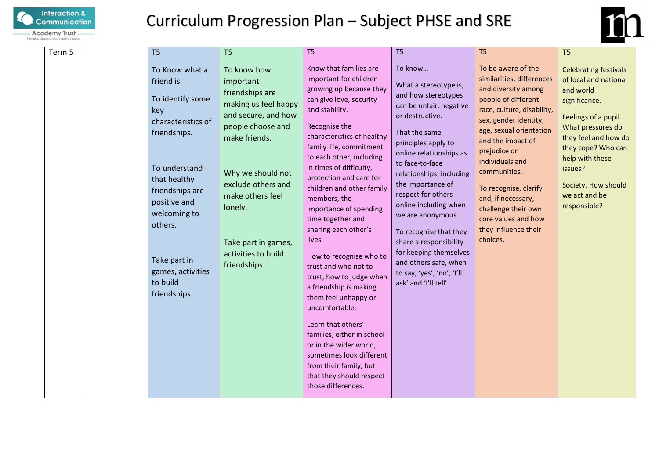



| Term 5 | T <sub>5</sub>                                                                                                                                                                                                                                                | T <sub>5</sub>                                                                                                                                                                                                                                                           | T <sub>5</sub>                                                                                                                                                                                                                                                                                                                                                                                                                                                                                                                                                                                                                                                                                                                                              | T <sub>5</sub>                                                                                                                                                                                                                                                                                                                                                                                                                                                                 | T <sub>5</sub>                                                                                                                                                                                                                                                                                                                                                                           | T <sub>5</sub>                                                                                                                                                                                                                                                       |
|--------|---------------------------------------------------------------------------------------------------------------------------------------------------------------------------------------------------------------------------------------------------------------|--------------------------------------------------------------------------------------------------------------------------------------------------------------------------------------------------------------------------------------------------------------------------|-------------------------------------------------------------------------------------------------------------------------------------------------------------------------------------------------------------------------------------------------------------------------------------------------------------------------------------------------------------------------------------------------------------------------------------------------------------------------------------------------------------------------------------------------------------------------------------------------------------------------------------------------------------------------------------------------------------------------------------------------------------|--------------------------------------------------------------------------------------------------------------------------------------------------------------------------------------------------------------------------------------------------------------------------------------------------------------------------------------------------------------------------------------------------------------------------------------------------------------------------------|------------------------------------------------------------------------------------------------------------------------------------------------------------------------------------------------------------------------------------------------------------------------------------------------------------------------------------------------------------------------------------------|----------------------------------------------------------------------------------------------------------------------------------------------------------------------------------------------------------------------------------------------------------------------|
|        | To Know what a<br>friend is.<br>To identify some<br>key<br>characteristics of<br>friendships.<br>To understand<br>that healthy<br>friendships are<br>positive and<br>welcoming to<br>others.<br>Take part in<br>games, activities<br>to build<br>friendships. | To know how<br>important<br>friendships are<br>making us feel happy<br>and secure, and how<br>people choose and<br>make friends.<br>Why we should not<br>exclude others and<br>make others feel<br>lonely.<br>Take part in games,<br>activities to build<br>friendships. | Know that families are<br>important for children<br>growing up because they<br>can give love, security<br>and stability.<br>Recognise the<br>characteristics of healthy<br>family life, commitment<br>to each other, including<br>in times of difficulty,<br>protection and care for<br>children and other family<br>members, the<br>importance of spending<br>time together and<br>sharing each other's<br>lives.<br>How to recognise who to<br>trust and who not to<br>trust, how to judge when<br>a friendship is making<br>them feel unhappy or<br>uncomfortable.<br>Learn that others'<br>families, either in school<br>or in the wider world,<br>sometimes look different<br>from their family, but<br>that they should respect<br>those differences. | To know<br>What a stereotype is,<br>and how stereotypes<br>can be unfair, negative<br>or destructive.<br>That the same<br>principles apply to<br>online relationships as<br>to face-to-face<br>relationships, including<br>the importance of<br>respect for others<br>online including when<br>we are anonymous.<br>To recognise that they<br>share a responsibility<br>for keeping themselves<br>and others safe, when<br>to say, 'yes', 'no', 'I'll<br>ask' and 'I'll tell'. | To be aware of the<br>similarities, differences<br>and diversity among<br>people of different<br>race, culture, disability,<br>sex, gender identity,<br>age, sexual orientation<br>and the impact of<br>prejudice on<br>individuals and<br>communities.<br>To recognise, clarify<br>and, if necessary,<br>challenge their own<br>core values and how<br>they influence their<br>choices. | <b>Celebrating festivals</b><br>of local and national<br>and world<br>significance.<br>Feelings of a pupil.<br>What pressures do<br>they feel and how do<br>they cope? Who can<br>help with these<br>issues?<br>Society. How should<br>we act and be<br>responsible? |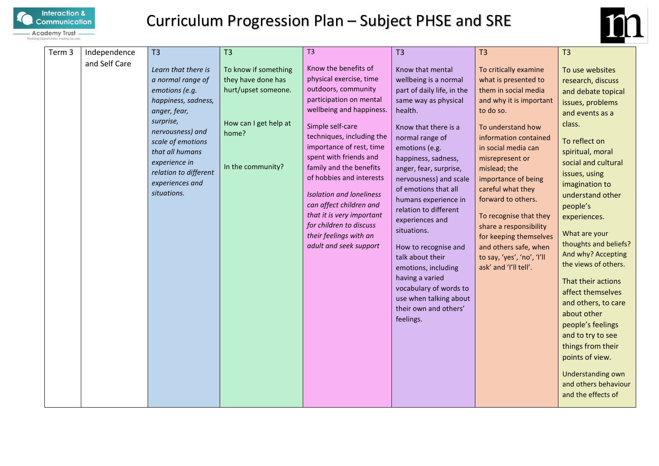



| Term 3 | Independence<br>and Self Care | T <sub>3</sub><br>Learn that there is<br>a normal range of<br>emotions (e.g.<br>happiness, sadness,<br>anger, fear,<br>surprise,<br>nervousness) and<br>scale of emotions<br>that all humans<br>experience in<br>relation to different<br>experiences and<br>situations. | T <sub>3</sub><br>To know if something<br>they have done has<br>hurt/upset someone.<br>How can I get help at<br>home?<br>In the community? | T <sub>3</sub><br>Know the benefits of<br>physical exercise, time<br>outdoors, community<br>participation on mental<br>wellbeing and happiness.<br>Simple self-care<br>techniques, including the<br>importance of rest, time<br>spent with friends and<br>family and the benefits<br>of hobbies and interests<br><b>Isolation and loneliness</b><br>can affect children and<br>that it is very important<br>for children to discuss<br>their feelings with an<br>adult and seek support | T3<br>Know that mental<br>wellbeing is a normal<br>part of daily life, in the<br>same way as physical<br>health.<br>Know that there is a<br>normal range of<br>emotions (e.g.<br>happiness, sadness,<br>anger, fear, surprise,<br>nervousness) and scale<br>of emotions that all<br>humans experience in<br>relation to different<br>experiences and<br>situations.<br>How to recognise and<br>talk about their<br>emotions, including<br>having a varied<br>vocabulary of words to<br>use when talking about<br>their own and others'<br>feelings. | T <sub>3</sub><br>To critically examine<br>what is presented to<br>them in social media<br>and why it is important<br>to do so.<br>To understand how<br>information contained<br>in social media can<br>misrepresent or<br>mislead; the<br>importance of being<br>careful what they<br>forward to others.<br>To recognise that they<br>share a responsibility<br>for keeping themselves<br>and others safe, when<br>to say, 'yes', 'no', 'I'll<br>ask' and 'I'll tell'. | T <sub>3</sub><br>To use websites<br>research, discuss<br>and debate topical<br>issues, problems<br>and events as a<br>class.<br>To reflect on<br>spiritual, moral<br>social and cultural<br>issues, using<br>imagination to<br>understand other<br>people's<br>experiences.<br>What are your<br>thoughts and beliefs?<br>And why? Accepting<br>the views of others.<br>That their actions<br>affect themselves<br>and others, to care<br>about other<br>people's feelings<br>and to try to see<br>things from their |
|--------|-------------------------------|--------------------------------------------------------------------------------------------------------------------------------------------------------------------------------------------------------------------------------------------------------------------------|--------------------------------------------------------------------------------------------------------------------------------------------|-----------------------------------------------------------------------------------------------------------------------------------------------------------------------------------------------------------------------------------------------------------------------------------------------------------------------------------------------------------------------------------------------------------------------------------------------------------------------------------------|-----------------------------------------------------------------------------------------------------------------------------------------------------------------------------------------------------------------------------------------------------------------------------------------------------------------------------------------------------------------------------------------------------------------------------------------------------------------------------------------------------------------------------------------------------|-------------------------------------------------------------------------------------------------------------------------------------------------------------------------------------------------------------------------------------------------------------------------------------------------------------------------------------------------------------------------------------------------------------------------------------------------------------------------|----------------------------------------------------------------------------------------------------------------------------------------------------------------------------------------------------------------------------------------------------------------------------------------------------------------------------------------------------------------------------------------------------------------------------------------------------------------------------------------------------------------------|
|        |                               |                                                                                                                                                                                                                                                                          |                                                                                                                                            |                                                                                                                                                                                                                                                                                                                                                                                                                                                                                         |                                                                                                                                                                                                                                                                                                                                                                                                                                                                                                                                                     |                                                                                                                                                                                                                                                                                                                                                                                                                                                                         | points of view.<br>Understanding own<br>and others behaviour<br>and the effects of                                                                                                                                                                                                                                                                                                                                                                                                                                   |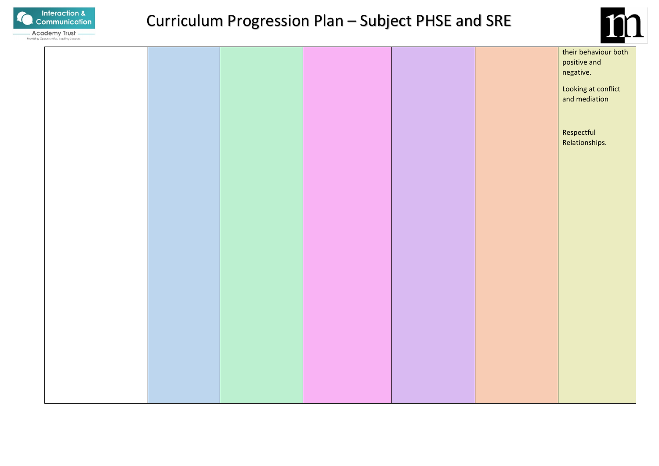



|  |  |  | their behaviour both<br>positive and |
|--|--|--|--------------------------------------|
|  |  |  | negative.                            |
|  |  |  | Looking at conflict                  |
|  |  |  | and mediation                        |
|  |  |  |                                      |
|  |  |  | Respectful                           |
|  |  |  | Relationships.                       |
|  |  |  |                                      |
|  |  |  |                                      |
|  |  |  |                                      |
|  |  |  |                                      |
|  |  |  |                                      |
|  |  |  |                                      |
|  |  |  |                                      |
|  |  |  |                                      |
|  |  |  |                                      |
|  |  |  |                                      |
|  |  |  |                                      |
|  |  |  |                                      |
|  |  |  |                                      |
|  |  |  |                                      |
|  |  |  |                                      |
|  |  |  |                                      |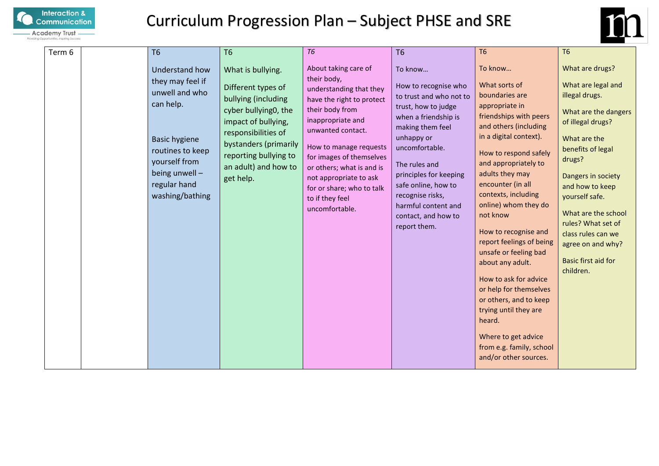



| Term 6 | <b>T6</b>                                                                                                                                                                           | <b>T6</b>                                                                                                                                                                                                                   | <b>T6</b>                                                                                                                                                                                                                                                                                                                               | <b>T6</b>                                                                                                                                                                                                                                                                                                         | T <sub>6</sub>                                                                                                                                                                                                                                                                                                                                                                                                                                                                                                                                                                             | <b>T6</b>                                                                                                                                                                                                                                                                                                                                         |
|--------|-------------------------------------------------------------------------------------------------------------------------------------------------------------------------------------|-----------------------------------------------------------------------------------------------------------------------------------------------------------------------------------------------------------------------------|-----------------------------------------------------------------------------------------------------------------------------------------------------------------------------------------------------------------------------------------------------------------------------------------------------------------------------------------|-------------------------------------------------------------------------------------------------------------------------------------------------------------------------------------------------------------------------------------------------------------------------------------------------------------------|--------------------------------------------------------------------------------------------------------------------------------------------------------------------------------------------------------------------------------------------------------------------------------------------------------------------------------------------------------------------------------------------------------------------------------------------------------------------------------------------------------------------------------------------------------------------------------------------|---------------------------------------------------------------------------------------------------------------------------------------------------------------------------------------------------------------------------------------------------------------------------------------------------------------------------------------------------|
|        | Understand how<br>they may feel if<br>unwell and who<br>can help.<br><b>Basic hygiene</b><br>routines to keep<br>yourself from<br>being unwell -<br>regular hand<br>washing/bathing | What is bullying.<br>Different types of<br>bullying (including<br>cyber bullying0, the<br>impact of bullying,<br>responsibilities of<br>bystanders (primarily<br>reporting bullying to<br>an adult) and how to<br>get help. | About taking care of<br>their body,<br>understanding that they<br>have the right to protect<br>their body from<br>inappropriate and<br>unwanted contact.<br>How to manage requests<br>for images of themselves<br>or others; what is and is<br>not appropriate to ask<br>for or share; who to talk<br>to if they feel<br>uncomfortable. | To know<br>How to recognise who<br>to trust and who not to<br>trust, how to judge<br>when a friendship is<br>making them feel<br>unhappy or<br>uncomfortable.<br>The rules and<br>principles for keeping<br>safe online, how to<br>recognise risks,<br>harmful content and<br>contact, and how to<br>report them. | To know<br>What sorts of<br>boundaries are<br>appropriate in<br>friendships with peers<br>and others (including<br>in a digital context).<br>How to respond safely<br>and appropriately to<br>adults they may<br>encounter (in all<br>contexts, including<br>online) whom they do<br>not know<br>How to recognise and<br>report feelings of being<br>unsafe or feeling bad<br>about any adult.<br>How to ask for advice<br>or help for themselves<br>or others, and to keep<br>trying until they are<br>heard.<br>Where to get advice<br>from e.g. family, school<br>and/or other sources. | What are drugs?<br>What are legal and<br>illegal drugs.<br>What are the dangers<br>of illegal drugs?<br>What are the<br>benefits of legal<br>drugs?<br>Dangers in society<br>and how to keep<br>yourself safe.<br>What are the school<br>rules? What set of<br>class rules can we<br>agree on and why?<br><b>Basic first aid for</b><br>children. |